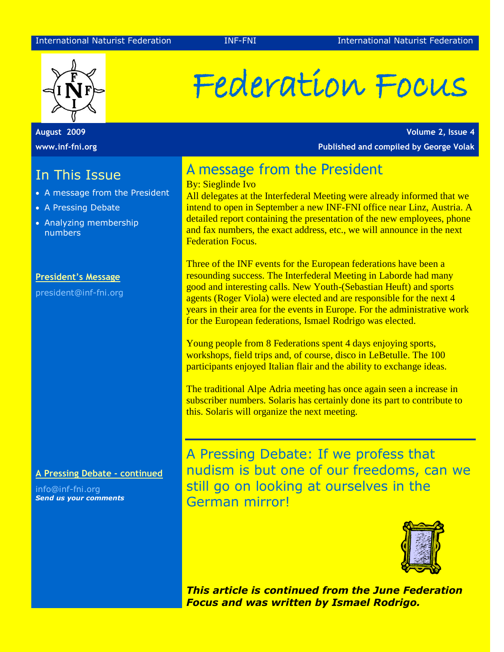

**August 2009 www.inf-fni.org**

## In This Issue

- A message from the President
- A Pressing Debate
- Analyzing membership numbers

#### **President's Message**

president@inf-fni.org

**A Pressing Debate - continued**

info@inf-fni.org *Send us your comments*

# Federation Focus

**Volume 2, Issue 4 Published and compiled by George Volak**

## A message from the President

By: Sieglinde Ivo

All delegates at the Interfederal Meeting were already informed that we intend to open in September a new INF-FNI office near Linz, Austria. A detailed report containing the presentation of the new employees, phone and fax numbers, the exact address, etc., we will announce in the next Federation Focus.

Three of the INF events for the European federations have been a resounding success. The Interfederal Meeting in Laborde had many good and interesting calls. New Youth-(Sebastian Heuft) and sports agents (Roger Viola) were elected and are responsible for the next 4 years in their area for the events in Europe. For the administrative work for the European federations, Ismael Rodrigo was elected.

Young people from 8 Federations spent 4 days enjoying sports, workshops, field trips and, of course, disco in LeBetulle. The 100 participants enjoyed Italian flair and the ability to exchange ideas.

The traditional Alpe Adria meeting has once again seen a increase in subscriber numbers. Solaris has certainly done its part to contribute to this. Solaris will organize the next meeting.

A Pressing Debate: If we profess that nudism is but one of our freedoms, can we still go on looking at ourselves in the German mirror!



*This article is continued from the June Federation Focus and was written by Ismael Rodrigo.*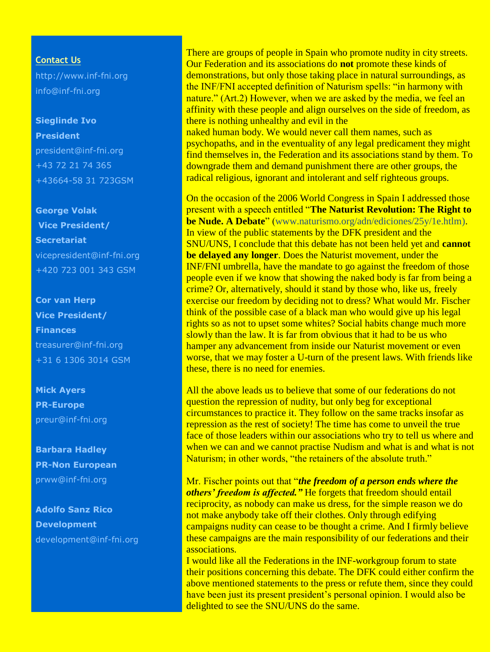**Contact Us**

http://www.inf-fni.org [info@inf-fni.org](mailto:info@inf-fni.org)

### **Sieglinde Ivo**

**President** [president@inf-fni.org](mailto:president@inf-fni.org) +43 72 21 74 365 +43664-58 31 723GSM

**George Volak Vice President/ Secretariat** [vicepresident@inf-fni.org](mailto:vicepresident@inf-fni.org) +420 723 001 343 GSM

## **Cor van Herp Vice President/ Finances** [treasurer@inf-fni.org](mailto:treasurer@inf-fni.org) +31 6 1306 3014 GSM

**Mick Ayers PR-Europe** [preur@inf-fni.org](mailto:preur@inf-fni.org)

**Barbara Hadley PR-Non European** [prww@inf-fni.org](mailto:prww@inf-fni.org)

**Adolfo Sanz Rico Development** development@inf-fni.org

There are groups of people in Spain who promote nudity in city streets. Our Federation and its associations do **not** promote these kinds of demonstrations, but only those taking place in natural surroundings, as the INF/FNI accepted definition of Naturism spells: "in harmony with nature." (Art.2) However, when we are asked by the media, we feel an affinity with these people and align ourselves on the side of freedom, as there is nothing unhealthy and evil in the

naked human body. We would never call them names, such as psychopaths, and in the eventuality of any legal predicament they might find themselves in, the Federation and its associations stand by them. To downgrade them and demand punishment there are other groups, the radical religious, ignorant and intolerant and self righteous groups.

On the occasion of the 2006 World Congress in Spain I addressed those present with a speech entitled "**The Naturist Revolution: The Right to be Nude. A Debate**" [\(www.naturismo.org/adn/ediciones/25y/1e.htlm\)](http://www.naturismo.org/adn/ediciones/25y/1e.htlm). In view of the public statements by the DFK president and the SNU/UNS, I conclude that this debate has not been held yet and **cannot be delayed any longer**. Does the Naturist movement, under the INF/FNI umbrella, have the mandate to go against the freedom of those people even if we know that showing the naked body is far from being a crime? Or, alternatively, should it stand by those who, like us, freely exercise our freedom by deciding not to dress? What would Mr. Fischer think of the possible case of a black man who would give up his legal rights so as not to upset some whites? Social habits change much more slowly than the law. It is far from obvious that it had to be us who hamper any advancement from inside our Naturist movement or even worse, that we may foster a U-turn of the present laws. With friends like these, there is no need for enemies.

All the above leads us to believe that some of our federations do not question the repression of nudity, but only beg for exceptional circumstances to practice it. They follow on the same tracks insofar as repression as the rest of society! The time has come to unveil the true face of those leaders within our associations who try to tell us where and when we can and we cannot practise Nudism and what is and what is not Naturism; in other words, "the retainers of the absolute truth."

Mr. Fischer points out that "*the freedom of a person ends where the others' freedom is affected."* He forgets that freedom should entail reciprocity, as nobody can make us dress, for the simple reason we do not make anybody take off their clothes. Only through edifying campaigns nudity can cease to be thought a crime. And I firmly believe these campaigns are the main responsibility of our federations and their associations.

I would like all the Federations in the INF-workgroup forum to state their positions concerning this debate. The DFK could either confirm the above mentioned statements to the press or refute them, since they could have been just its present president's personal opinion. I would also be delighted to see the SNU/UNS do the same.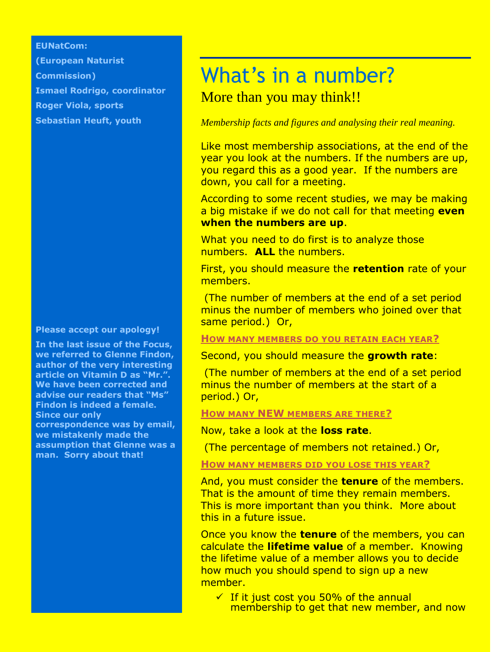## **EUNatCom:**

**(European Naturist Commission) Ismael Rodrigo, coordinator Roger Viola, sports Sebastian Heuft, youth**

#### **Please accept our apology!**

**In the last issue of the Focus, we referred to Glenne Findon, author of the very interesting article on Vitamin D as "Mr.". We have been corrected and advise our readers that "Ms" Findon is indeed a female. Since our only correspondence was by email, we mistakenly made the assumption that Glenne was a man. Sorry about that!**

# What's in a number? More than you may think!!

## *Membership facts and figures and analysing their real meaning.*

Like most membership associations, at the end of the year you look at the numbers. If the numbers are up, you regard this as a good year. If the numbers are down, you call for a meeting.

According to some recent studies, we may be making a big mistake if we do not call for that meeting **even when the numbers are up**.

What you need to do first is to analyze those numbers. **ALL** the numbers.

First, you should measure the **retention** rate of your members.

(The number of members at the end of a set period minus the number of members who joined over that same period.) Or,

**HOW MANY MEMBERS DO YOU RETAIN EACH YEAR?**

Second, you should measure the **growth rate**:

(The number of members at the end of a set period minus the number of members at the start of a period.) Or,

**HOW MANY NEW MEMBERS ARE THERE?**

Now, take a look at the **loss rate**.

(The percentage of members not retained.) Or,

**HOW MANY MEMBERS DID YOU LOSE THIS YEAR?**

And, you must consider the **tenure** of the members. That is the amount of time they remain members. This is more important than you think. More about this in a future issue.

Once you know the **tenure** of the members, you can calculate the **lifetime value** of a member. Knowing the lifetime value of a member allows you to decide how much you should spend to sign up a new member.

 $\checkmark$  If it just cost you 50% of the annual membership to get that new member, and now